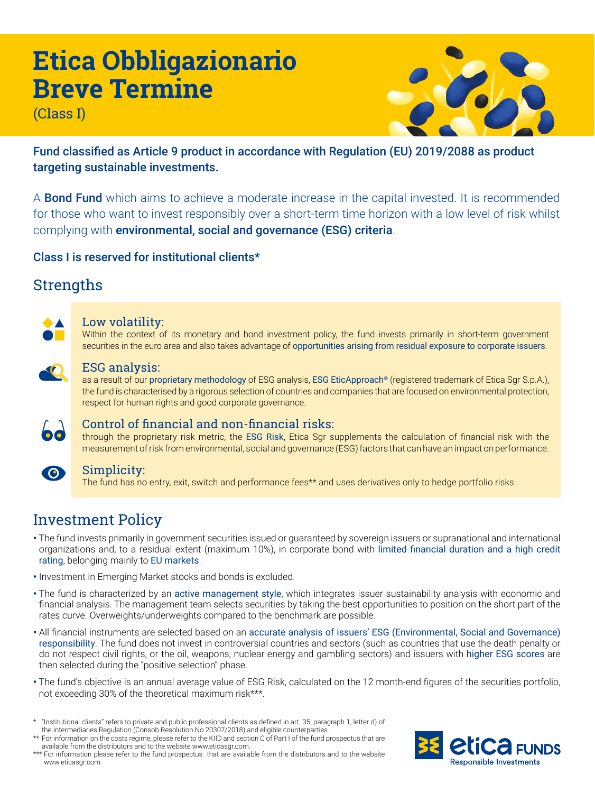# **Etica Obbligazionario Breve Termine**

(Class I)



Fund classified as Article 9 product in accordance with Regulation (EU) 2019/2088 as product targeting sustainable investments.

A **Bond Fund** which aims to achieve a moderate increase in the capital invested. It is recommended for those who want to invest responsibly over a short-term time horizon with a low level of risk whilst complying with environmental, social and governance (ESG) criteria.

Class I is reserved for institutional clients\*

# **Strengths**



### Low volatility:

Within the context of its monetary and bond investment policy, the fund invests primarily in short-term government securities in the euro area and also takes advantage of opportunities arising from residual exposure to corporate issuers.



### ESG analysis:

as a result of our proprietary methodology of ESG analysis, ESG EticApproach® (registered trademark of Etica Sgr S.p.A.), the fund is characterised by a rigorous selection of countries and companies that are focused on environmental protection, respect for human rights and good corporate governance.



# Control of financial and non-financial risks:

through the proprietary risk metric, the ESG Risk, Etica Sgr supplements the calculation of financial risk with the measurement of risk from environmental, social and governance (ESG) factors that can have an impact on performance.



# Simplicity:

The fund has no entry, exit, switch and performance fees\*\* and uses derivatives only to hedge portfolio risks.

# Investment Policy

- The fund invests primarily in government securities issued or guaranteed by sovereign issuers or supranational and international organizations and, to a residual extent (maximum 10%), in corporate bond with limited financial duration and a high credit rating, belonging mainly to EU markets.
- Investment in Emerging Market stocks and bonds is excluded.
- The fund is characterized by an active management style, which integrates issuer sustainability analysis with economic and financial analysis. The management team selects securities by taking the best opportunities to position on the short part of the rates curve. Overweights/underweights compared to the benchmark are possible.
- All financial instruments are selected based on an accurate analysis of issuers' ESG (Environmental, Social and Governance) responsibility. The fund does not invest in controversial countries and sectors (such as countries that use the death penalty or do not respect civil rights, or the oil, weapons, nuclear energy and gambling sectors) and issuers with higher ESG scores are then selected during the "positive selection" phase.
- The fund's objective is an annual average value of ESG Risk, calculated on the 12 month-end figures of the securities portfolio, not exceeding 30% of the theoretical maximum risk\*\*\*.

<sup>\*\*\*</sup> For information please refer to the fund prospectus that are available from the distributors and to the website www.eticasgr.com.



<sup>\*</sup> "Institutional clients" refers to private and public professional clients as defined in art. 35, paragraph 1, letter d) of the Intermediaries Regulation (Consob Resolution No 20307/2018) and eligible counterparties.

<sup>\*\*</sup> For information on the costs regime, please refer to the KIID and section C of Part I of the fund prospectus that are available from the distributors and to the website www.eticasgr.com.